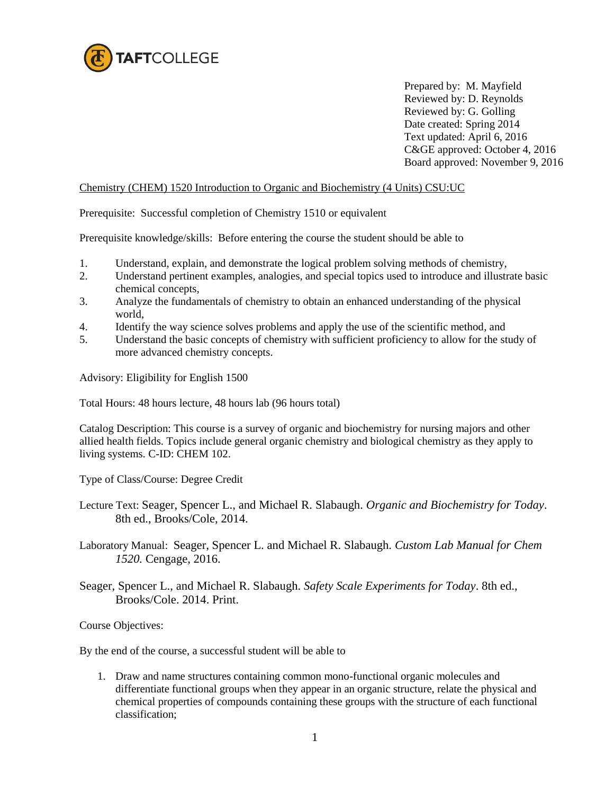

Prepared by: M. Mayfield Reviewed by: D. Reynolds Reviewed by: G. Golling Date created: Spring 2014 Text updated: April 6, 2016 C&GE approved: October 4, 2016 Board approved: November 9, 2016

## Chemistry (CHEM) 1520 Introduction to Organic and Biochemistry (4 Units) CSU:UC

Prerequisite: Successful completion of Chemistry 1510 or equivalent

Prerequisite knowledge/skills: Before entering the course the student should be able to

- 
- 1. Understand, explain, and demonstrate the logical problem solving methods of chemistry,<br>2. Understand pertinent examples, analogies, and special topics used to introduce and illustr 2. Understand pertinent examples, analogies, and special topics used to introduce and illustrate basic chemical concepts,
- 3. Analyze the fundamentals of chemistry to obtain an enhanced understanding of the physical world,
- 4. Identify the way science solves problems and apply the use of the scientific method, and
- 5. Understand the basic concepts of chemistry with sufficient proficiency to allow for the study of more advanced chemistry concepts.

Advisory: Eligibility for English 1500

Total Hours: 48 hours lecture, 48 hours lab (96 hours total)

Catalog Description: This course is a survey of organic and biochemistry for nursing majors and other allied health fields. Topics include general organic chemistry and biological chemistry as they apply to living systems. C-ID: CHEM 102.

Type of Class/Course: Degree Credit

- Lecture Text: Seager, Spencer L., and Michael R. Slabaugh. *Organic and Biochemistry for Today*. 8th ed., Brooks/Cole, 2014.
- Laboratory Manual: Seager, Spencer L. and Michael R. Slabaugh. *Custom Lab Manual for Chem 1520.* Cengage, 2016.
- Seager, Spencer L., and Michael R. Slabaugh. *Safety Scale Experiments for Today*. 8th ed., Brooks/Cole. 2014. Print.

Course Objectives:

By the end of the course, a successful student will be able to

1. Draw and name structures containing common mono-functional organic molecules and differentiate functional groups when they appear in an organic structure, relate the physical and chemical properties of compounds containing these groups with the structure of each functional classification;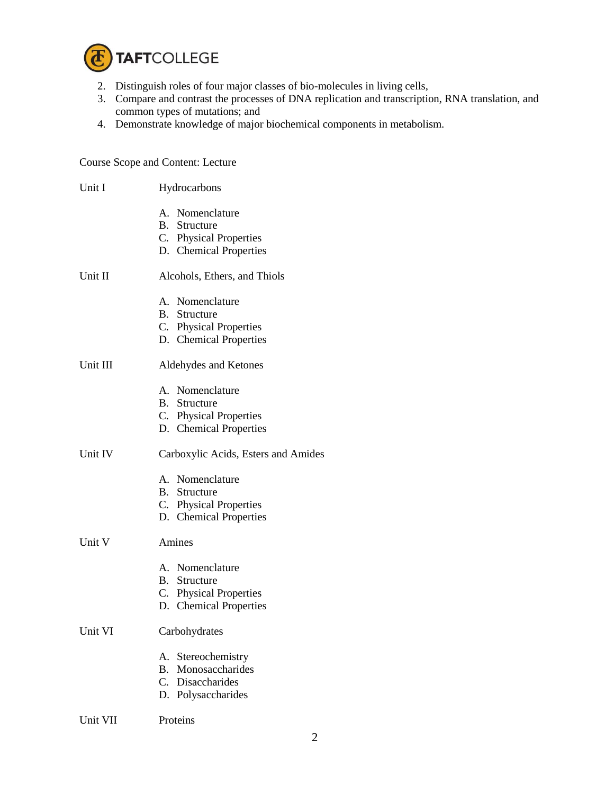

- 2. Distinguish roles of four major classes of bio-molecules in living cells,
- 3. Compare and contrast the processes of DNA replication and transcription, RNA translation, and common types of mutations; and
- 4. Demonstrate knowledge of major biochemical components in metabolism.

Course Scope and Content: Lecture

| Unit I   | Hydrocarbons                                                                                    |  |
|----------|-------------------------------------------------------------------------------------------------|--|
|          | A. Nomenclature<br>B. Structure<br>C. Physical Properties<br>D. Chemical Properties             |  |
| Unit II  | Alcohols, Ethers, and Thiols                                                                    |  |
|          | A. Nomenclature<br><b>B.</b> Structure<br>C. Physical Properties<br>D. Chemical Properties      |  |
| Unit III | Aldehydes and Ketones                                                                           |  |
|          | A. Nomenclature<br><b>B.</b> Structure<br>C. Physical Properties<br>D. Chemical Properties      |  |
| Unit IV  | Carboxylic Acids, Esters and Amides                                                             |  |
|          | A. Nomenclature<br>B. Structure<br>C. Physical Properties<br>D. Chemical Properties             |  |
| Unit V   | Amines                                                                                          |  |
|          | A. Nomenclature<br><b>B.</b> Structure<br>C. Physical Properties<br>D. Chemical Properties      |  |
| Unit VI  | Carbohydrates                                                                                   |  |
|          | Stereochemistry<br>А.<br>Monosaccharides<br><b>B.</b><br>C. Disaccharides<br>D. Polysaccharides |  |
| Unit VII | Proteins                                                                                        |  |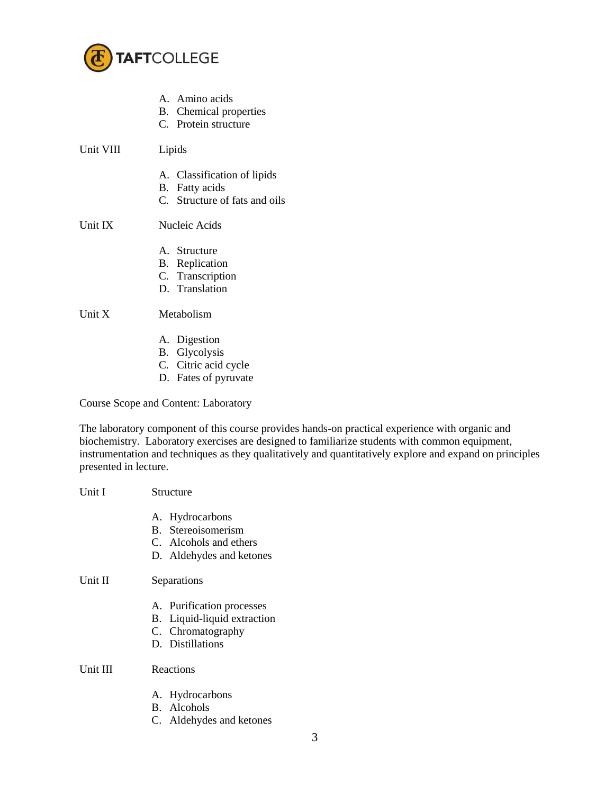

- A. Amino acids
- B. Chemical properties
- C. Protein structure
- Unit VIII Lipids
	- A. Classification of lipids
	- B. Fatty acids
	- C. Structure of fats and oils

# Unit IX Nucleic Acids

- A. Structure
- B. Replication
- C. Transcription
- D. Translation

## Unit X Metabolism

- A. Digestion
- B. Glycolysis
- C. Citric acid cycle
- D. Fates of pyruvate

Course Scope and Content: Laboratory

The laboratory component of this course provides hands-on practical experience with organic and biochemistry. Laboratory exercises are designed to familiarize students with common equipment, instrumentation and techniques as they qualitatively and quantitatively explore and expand on principles presented in lecture.

| Unit I   | Structure                                                                                         |
|----------|---------------------------------------------------------------------------------------------------|
|          | A. Hydrocarbons<br>B. Stereoisomerism<br>C. Alcohols and ethers<br>D. Aldehydes and ketones       |
| Unit II  | Separations                                                                                       |
|          | A. Purification processes<br>B. Liquid-liquid extraction<br>C. Chromatography<br>D. Distillations |
| Unit III | Reactions                                                                                         |
|          | A. Hydrocarbons<br>B. Alcohols                                                                    |

C. Aldehydes and ketones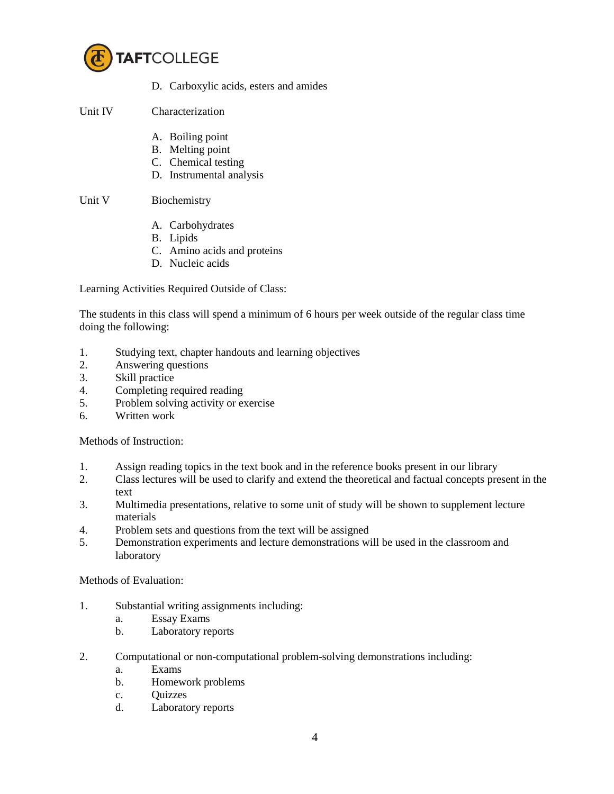

D. Carboxylic acids, esters and amides

### Unit IV Characterization

- A. Boiling point
- B. Melting point
- C. Chemical testing
- D. Instrumental analysis

#### Unit V Biochemistry

- A. Carbohydrates
- B. Lipids
- C. Amino acids and proteins
- D. Nucleic acids

Learning Activities Required Outside of Class:

The students in this class will spend a minimum of 6 hours per week outside of the regular class time doing the following:

- 1. Studying text, chapter handouts and learning objectives
- 2. Answering questions
- 3. Skill practice
- 4. Completing required reading
- 5. Problem solving activity or exercise
- 6. Written work

Methods of Instruction:

- 1. Assign reading topics in the text book and in the reference books present in our library
- 2. Class lectures will be used to clarify and extend the theoretical and factual concepts present in the text
- 3. Multimedia presentations, relative to some unit of study will be shown to supplement lecture materials
- 4. Problem sets and questions from the text will be assigned
- 5. Demonstration experiments and lecture demonstrations will be used in the classroom and laboratory

Methods of Evaluation:

- 1. Substantial writing assignments including:
	- a. Essay Exams
	- b. Laboratory reports
- 2. Computational or non-computational problem-solving demonstrations including:
	- a. Exams
	- b. Homework problems
	- c. Quizzes
	- d. Laboratory reports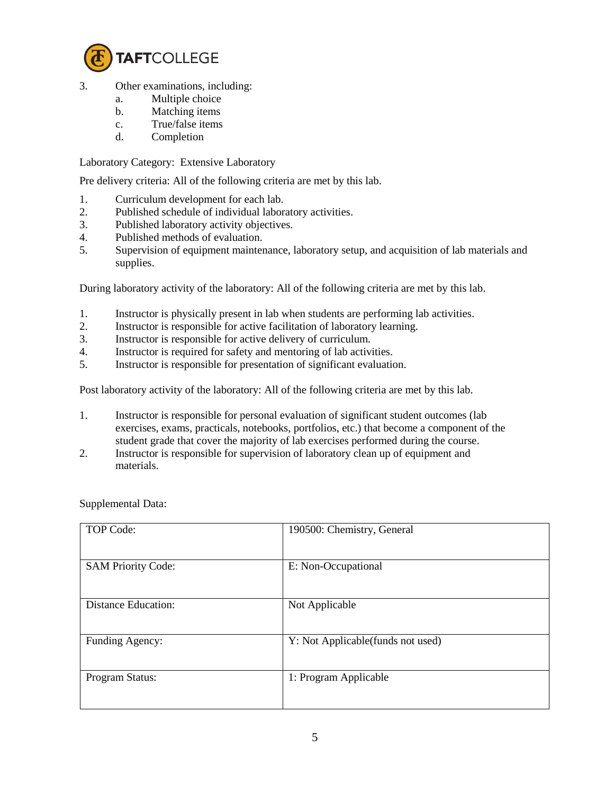

- 3. Other examinations, including:
	- a. Multiple choice
	- b. Matching items
	- c. True/false items
	- d. Completion

Laboratory Category: Extensive Laboratory

Pre delivery criteria: All of the following criteria are met by this lab.

- 1. Curriculum development for each lab.
- 2. Published schedule of individual laboratory activities.
- 3. Published laboratory activity objectives.
- 4. Published methods of evaluation.
- 5. Supervision of equipment maintenance, laboratory setup, and acquisition of lab materials and supplies.

During laboratory activity of the laboratory: All of the following criteria are met by this lab.

- 1. Instructor is physically present in lab when students are performing lab activities.
- 2. Instructor is responsible for active facilitation of laboratory learning.
- 3. Instructor is responsible for active delivery of curriculum.
- 4. Instructor is required for safety and mentoring of lab activities.
- 5. Instructor is responsible for presentation of significant evaluation.

Post laboratory activity of the laboratory: All of the following criteria are met by this lab.

- 1. Instructor is responsible for personal evaluation of significant student outcomes (lab exercises, exams, practicals, notebooks, portfolios, etc.) that become a component of the student grade that cover the majority of lab exercises performed during the course.
- 2. Instructor is responsible for supervision of laboratory clean up of equipment and materials.

| <b>TOP Code:</b>           | 190500: Chemistry, General        |
|----------------------------|-----------------------------------|
| <b>SAM Priority Code:</b>  | E: Non-Occupational               |
| <b>Distance Education:</b> | Not Applicable                    |
| Funding Agency:            | Y: Not Applicable(funds not used) |
| Program Status:            | 1: Program Applicable             |

Supplemental Data: